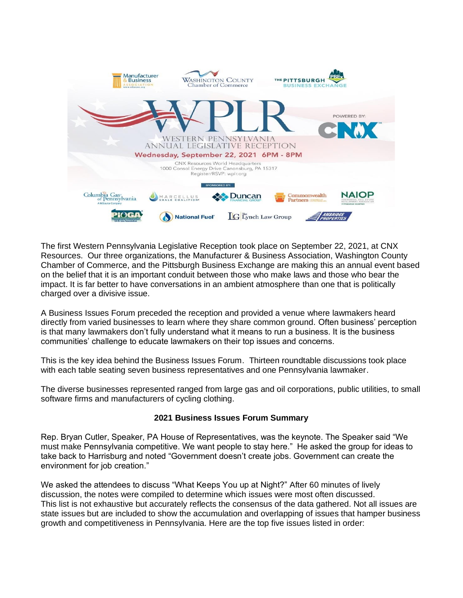

The first Western Pennsylvania Legislative Reception took place on September 22, 2021, at CNX Resources. Our three organizations, the Manufacturer & Business Association, Washington County Chamber of Commerce, and the Pittsburgh Business Exchange are making this an annual event based on the belief that it is an important conduit between those who make laws and those who bear the impact. It is far better to have conversations in an ambient atmosphere than one that is politically charged over a divisive issue.

A Business Issues Forum preceded the reception and provided a venue where lawmakers heard directly from varied businesses to learn where they share common ground. Often business' perception is that many lawmakers don't fully understand what it means to run a business. It is the business communities' challenge to educate lawmakers on their top issues and concerns.

This is the key idea behind the Business Issues Forum. Thirteen roundtable discussions took place with each table seating seven business representatives and one Pennsylvania lawmaker.

The diverse businesses represented ranged from large gas and oil corporations, public utilities, to small software firms and manufacturers of cycling clothing.

#### **2021 Business Issues Forum Summary**

Rep. Bryan Cutler, Speaker, PA House of Representatives, was the keynote. The Speaker said "We must make Pennsylvania competitive. We want people to stay here." He asked the group for ideas to take back to Harrisburg and noted "Government doesn't create jobs. Government can create the environment for job creation."

We asked the attendees to discuss "What Keeps You up at Night?" After 60 minutes of lively discussion, the notes were compiled to determine which issues were most often discussed. This list is not exhaustive but accurately reflects the consensus of the data gathered. Not all issues are state issues but are included to show the accumulation and overlapping of issues that hamper business growth and competitiveness in Pennsylvania. Here are the top five issues listed in order: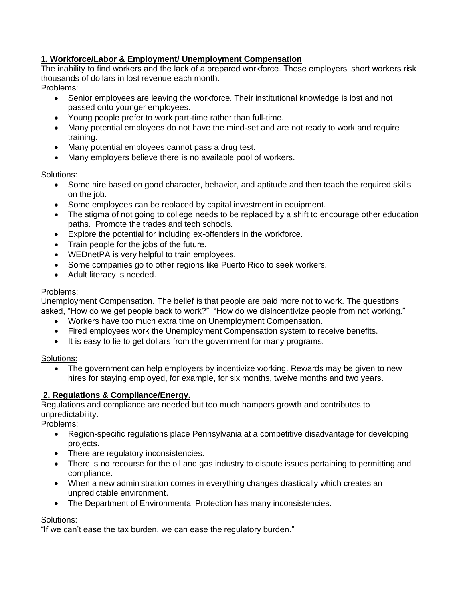## **1. Workforce/Labor & Employment/ Unemployment Compensation**

The inability to find workers and the lack of a prepared workforce. Those employers' short workers risk thousands of dollars in lost revenue each month.

### Problems:

- Senior employees are leaving the workforce. Their institutional knowledge is lost and not passed onto younger employees.
- Young people prefer to work part-time rather than full-time.
- Many potential employees do not have the mind-set and are not ready to work and require training.
- Many potential employees cannot pass a drug test.
- Many employers believe there is no available pool of workers.

#### Solutions:

- Some hire based on good character, behavior, and aptitude and then teach the required skills on the job.
- Some employees can be replaced by capital investment in equipment.
- The stigma of not going to college needs to be replaced by a shift to encourage other education paths. Promote the trades and tech schools.
- Explore the potential for including ex-offenders in the workforce.
- Train people for the jobs of the future.
- WEDnetPA is very helpful to train employees.
- Some companies go to other regions like Puerto Rico to seek workers.
- Adult literacy is needed.

### Problems:

Unemployment Compensation. The belief is that people are paid more not to work. The questions asked, "How do we get people back to work?" "How do we disincentivize people from not working."

- Workers have too much extra time on Unemployment Compensation.
- Fired employees work the Unemployment Compensation system to receive benefits.
- It is easy to lie to get dollars from the government for many programs.

### Solutions:

The government can help employers by incentivize working. Rewards may be given to new hires for staying employed, for example, for six months, twelve months and two years.

# **2. Regulations & Compliance/Energy.**

Regulations and compliance are needed but too much hampers growth and contributes to unpredictability.

Problems:

- Region-specific regulations place Pennsylvania at a competitive disadvantage for developing projects.
- There are regulatory inconsistencies.
- There is no recourse for the oil and gas industry to dispute issues pertaining to permitting and compliance.
- When a new administration comes in everything changes drastically which creates an unpredictable environment.
- The Department of Environmental Protection has many inconsistencies.

### Solutions:

"If we can't ease the tax burden, we can ease the regulatory burden."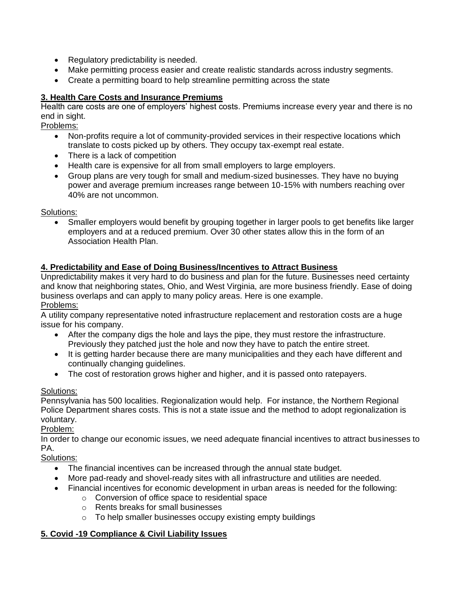- Regulatory predictability is needed.
- Make permitting process easier and create realistic standards across industry segments.
- Create a permitting board to help streamline permitting across the state

## **3. Health Care Costs and Insurance Premiums**

Health care costs are one of employers' highest costs. Premiums increase every year and there is no end in sight.

Problems:

- Non-profits require a lot of community-provided services in their respective locations which translate to costs picked up by others. They occupy tax-exempt real estate.
- There is a lack of competition
- Health care is expensive for all from small employers to large employers.
- Group plans are very tough for small and medium-sized businesses. They have no buying power and average premium increases range between 10-15% with numbers reaching over 40% are not uncommon.

Solutions:

• Smaller employers would benefit by grouping together in larger pools to get benefits like larger employers and at a reduced premium. Over 30 other states allow this in the form of an Association Health Plan.

### **4. Predictability and Ease of Doing Business/Incentives to Attract Business**

Unpredictability makes it very hard to do business and plan for the future. Businesses need certainty and know that neighboring states, Ohio, and West Virginia, are more business friendly. Ease of doing business overlaps and can apply to many policy areas. Here is one example. Problems:

A utility company representative noted infrastructure replacement and restoration costs are a huge issue for his company.

- After the company digs the hole and lays the pipe, they must restore the infrastructure. Previously they patched just the hole and now they have to patch the entire street.
- It is getting harder because there are many municipalities and they each have different and continually changing guidelines.
- The cost of restoration grows higher and higher, and it is passed onto ratepayers.

### Solutions:

Pennsylvania has 500 localities. Regionalization would help. For instance, the Northern Regional Police Department shares costs. This is not a state issue and the method to adopt regionalization is voluntary.

Problem:

In order to change our economic issues, we need adequate financial incentives to attract businesses to PA.

Solutions:

- The financial incentives can be increased through the annual state budget.
- More pad-ready and shovel-ready sites with all infrastructure and utilities are needed.
- Financial incentives for economic development in urban areas is needed for the following:
	- o Conversion of office space to residential space
	- o Rents breaks for small businesses
	- o To help smaller businesses occupy existing empty buildings

# **5. Covid -19 Compliance & Civil Liability Issues**